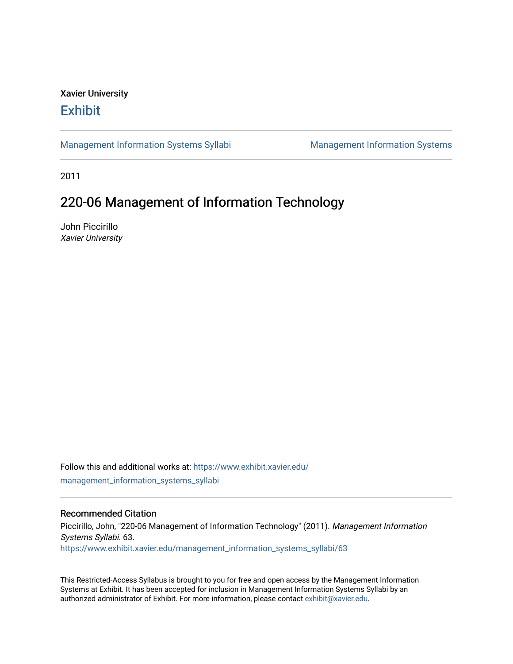# Xavier University **Exhibit**

[Management Information Systems Syllabi](https://www.exhibit.xavier.edu/management_information_systems_syllabi) Management Information Systems

2011

# 220-06 Management of Information Technology

John Piccirillo Xavier University

Follow this and additional works at: [https://www.exhibit.xavier.edu/](https://www.exhibit.xavier.edu/management_information_systems_syllabi?utm_source=www.exhibit.xavier.edu%2Fmanagement_information_systems_syllabi%2F63&utm_medium=PDF&utm_campaign=PDFCoverPages) [management\\_information\\_systems\\_syllabi](https://www.exhibit.xavier.edu/management_information_systems_syllabi?utm_source=www.exhibit.xavier.edu%2Fmanagement_information_systems_syllabi%2F63&utm_medium=PDF&utm_campaign=PDFCoverPages) 

#### Recommended Citation

Piccirillo, John, "220-06 Management of Information Technology" (2011). Management Information Systems Syllabi. 63. [https://www.exhibit.xavier.edu/management\\_information\\_systems\\_syllabi/63](https://www.exhibit.xavier.edu/management_information_systems_syllabi/63?utm_source=www.exhibit.xavier.edu%2Fmanagement_information_systems_syllabi%2F63&utm_medium=PDF&utm_campaign=PDFCoverPages) 

This Restricted-Access Syllabus is brought to you for free and open access by the Management Information Systems at Exhibit. It has been accepted for inclusion in Management Information Systems Syllabi by an authorized administrator of Exhibit. For more information, please contact [exhibit@xavier.edu](mailto:exhibit@xavier.edu).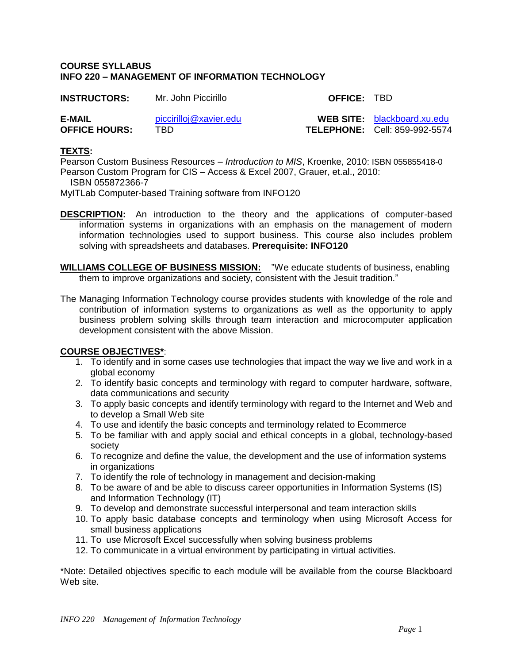#### **COURSE SYLLABUS INFO 220 – MANAGEMENT OF INFORMATION TECHNOLOGY**

| <b>INSTRUCTORS:</b>  | Mr. John Piccirillo    | <b>OFFICE: TBD</b> |                                      |
|----------------------|------------------------|--------------------|--------------------------------------|
| E-MAIL               | piccirilloj@xavier.edu |                    | <b>WEB SITE:</b> blackboard.xu.edu   |
| <b>OFFICE HOURS:</b> | TBD -                  |                    | <b>TELEPHONE: Cell: 859-992-5574</b> |

#### **TEXTS:**

Pearson Custom Business Resources – *Introduction to MIS*, Kroenke, 2010: ISBN 055855418-0 Pearson Custom Program for CIS – Access & Excel 2007, Grauer, et.al., 2010: ISBN 055872366-7

MyITLab Computer-based Training software from INFO120

- **DESCRIPTION:** An introduction to the theory and the applications of computer-based information systems in organizations with an emphasis on the management of modern information technologies used to support business. This course also includes problem solving with spreadsheets and databases. **Prerequisite: INFO120**
- **WILLIAMS COLLEGE OF BUSINESS MISSION:** "We educate students of business, enabling them to improve organizations and society, consistent with the Jesuit tradition."
- The Managing Information Technology course provides students with knowledge of the role and contribution of information systems to organizations as well as the opportunity to apply business problem solving skills through team interaction and microcomputer application development consistent with the above Mission.

## **COURSE OBJECTIVES\***:

- 1. To identify and in some cases use technologies that impact the way we live and work in a global economy
- 2. To identify basic concepts and terminology with regard to computer hardware, software, data communications and security
- 3. To apply basic concepts and identify terminology with regard to the Internet and Web and to develop a Small Web site
- 4. To use and identify the basic concepts and terminology related to Ecommerce
- 5. To be familiar with and apply social and ethical concepts in a global, technology-based society
- 6. To recognize and define the value, the development and the use of information systems in organizations
- 7. To identify the role of technology in management and decision-making
- 8. To be aware of and be able to discuss career opportunities in Information Systems (IS) and Information Technology (IT)
- 9. To develop and demonstrate successful interpersonal and team interaction skills
- 10. To apply basic database concepts and terminology when using Microsoft Access for small business applications
- 11. To use Microsoft Excel successfully when solving business problems
- 12. To communicate in a virtual environment by participating in virtual activities.

\*Note: Detailed objectives specific to each module will be available from the course Blackboard Web site.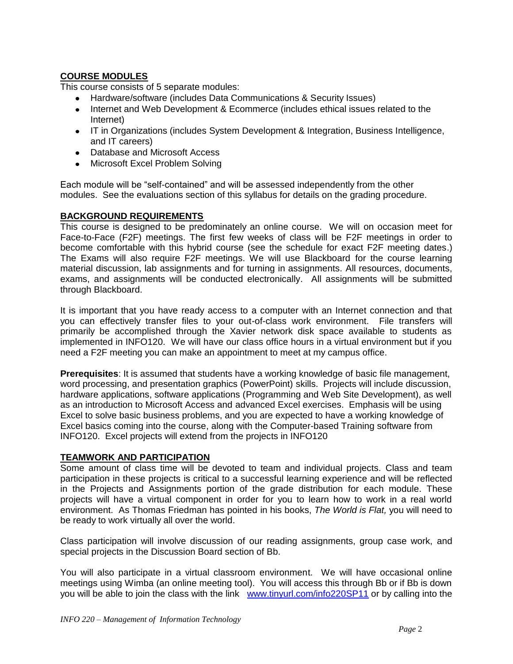# **COURSE MODULES**

This course consists of 5 separate modules:

- Hardware/software (includes Data Communications & Security Issues)
- Internet and Web Development & Ecommerce (includes ethical issues related to the Internet)
- IT in Organizations (includes System Development & Integration, Business Intelligence, and IT careers)
- Database and Microsoft Access
- Microsoft Excel Problem Solving

Each module will be "self-contained" and will be assessed independently from the other modules. See the evaluations section of this syllabus for details on the grading procedure.

## **BACKGROUND REQUIREMENTS**

This course is designed to be predominately an online course. We will on occasion meet for Face-to-Face (F2F) meetings. The first few weeks of class will be F2F meetings in order to become comfortable with this hybrid course (see the schedule for exact F2F meeting dates.) The Exams will also require F2F meetings. We will use Blackboard for the course learning material discussion, lab assignments and for turning in assignments. All resources, documents, exams, and assignments will be conducted electronically. All assignments will be submitted through Blackboard.

It is important that you have ready access to a computer with an Internet connection and that you can effectively transfer files to your out-of-class work environment. File transfers will primarily be accomplished through the Xavier network disk space available to students as implemented in INFO120. We will have our class office hours in a virtual environment but if you need a F2F meeting you can make an appointment to meet at my campus office.

**Prerequisites**: It is assumed that students have a working knowledge of basic file management, word processing, and presentation graphics (PowerPoint) skills. Projects will include discussion, hardware applications, software applications (Programming and Web Site Development), as well as an introduction to Microsoft Access and advanced Excel exercises. Emphasis will be using Excel to solve basic business problems, and you are expected to have a working knowledge of Excel basics coming into the course, along with the Computer-based Training software from INFO120. Excel projects will extend from the projects in INFO120

## **TEAMWORK AND PARTICIPATION**

Some amount of class time will be devoted to team and individual projects. Class and team participation in these projects is critical to a successful learning experience and will be reflected in the Projects and Assignments portion of the grade distribution for each module. These projects will have a virtual component in order for you to learn how to work in a real world environment. As Thomas Friedman has pointed in his books, *The World is Flat,* you will need to be ready to work virtually all over the world.

Class participation will involve discussion of our reading assignments, group case work, and special projects in the Discussion Board section of Bb.

You will also participate in a virtual classroom environment. We will have occasional online meetings using Wimba (an online meeting tool). You will access this through Bb or if Bb is down you will be able to join the class with the link [www.tinyurl.com/info220SP11](http://www.tinyurl.com/info220SP11) or by calling into the